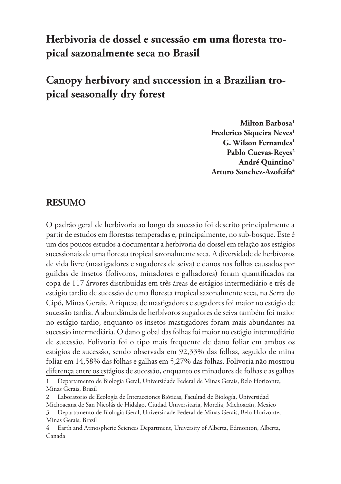## **Herbivoria de dossel e sucessão em uma floresta tropical sazonalmente seca no Brasil**

#### **Canopy herbivory and succession in a Brazilian tropical seasonally dry forest**

**Milton Barbosa1 Frederico Siqueira Neves1 G. Wilson Fernandes1** Pablo Cuevas-Reves<sup>2</sup> **André Quintino3 Arturo Sanchez-Azofeifa4**

#### **RESUMO**

O padrão geral de herbivoria ao longo da sucessão foi descrito principalmente a partir de estudos em florestas temperadas e, principalmente, no sub-bosque. Este é um dos poucos estudos a documentar a herbivoria do dossel em relação aos estágios sucessionais de uma floresta tropical sazonalmente seca. A diversidade de herbívoros de vida livre (mastigadores e sugadores de seiva) e danos nas folhas causados por guildas de insetos (folívoros, minadores e galhadores) foram quantificados na copa de 117 árvores distribuídas em três áreas de estágios intermediário e três de estágio tardio de sucessão de uma floresta tropical sazonalmente seca, na Serra do Cipó, Minas Gerais. A riqueza de mastigadores e sugadores foi maior no estágio de sucessão tardia. A abundância de herbívoros sugadores de seiva também foi maior no estágio tardio, enquanto os insetos mastigadores foram mais abundantes na sucessão intermediária. O dano global das folhas foi maior no estágio intermediário de sucessão. Folivoria foi o tipo mais frequente de dano foliar em ambos os estágios de sucessão, sendo observada em 92,33% das folhas, seguido de mina foliar em 14,58% das folhas e galhas em 5,27% das folhas. Folivoria não mostrou diferença entre os estágios de sucessão, enquanto os minadores de folhas e as galhas

<sup>1</sup> Departamento de Biologia Geral, Universidade Federal de Minas Gerais, Belo Horizonte, Minas Gerais, Brazil

<sup>2</sup> Laboratorio de Ecología de Interacciones Bióticas, Facultad de Biología, Universidad Michoacana de San Nicolás de Hidalgo, Ciudad Universitaria, Morelia, Michoacán, Mexico

<sup>3</sup> Departamento de Biologia Geral, Universidade Federal de Minas Gerais, Belo Horizonte, Minas Gerais, Brazil

<sup>4</sup> Earth and Atmospheric Sciences Department, University of Alberta, Edmonton, Alberta, Canada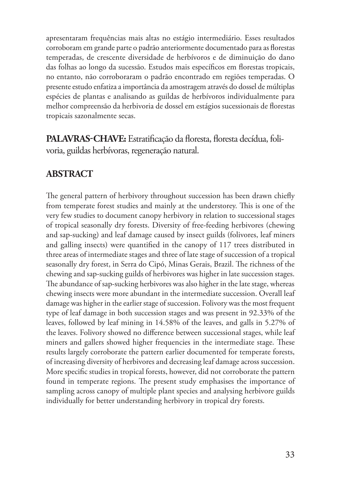apresentaram frequências mais altas no estágio intermediário. Esses resultados corroboram em grande parte o padrão anteriormente documentado para as florestas temperadas, de crescente diversidade de herbívoros e de diminuição do dano das folhas ao longo da sucessão. Estudos mais específicos em florestas tropicais, no entanto, não corroboraram o padrão encontrado em regiões temperadas. O presente estudo enfatiza a importância da amostragem através do dossel de múltiplas espécies de plantas e analisando as guildas de herbívoros individualmente para melhor compreensão da herbivoria de dossel em estágios sucessionais de florestas tropicais sazonalmente secas.

**PALAVRAS-CHAVE:** Estratificação da floresta, floresta decídua, folivoria, guildas herbívoras, regeneração natural.

#### **ABSTRACT**

The general pattern of herbivory throughout succession has been drawn chiefly from temperate forest studies and mainly at the understorey. This is one of the very few studies to document canopy herbivory in relation to successional stages of tropical seasonally dry forests. Diversity of free-feeding herbivores (chewing and sap-sucking) and leaf damage caused by insect guilds (folivores, leaf miners and galling insects) were quantified in the canopy of 117 trees distributed in three areas of intermediate stages and three of late stage of succession of a tropical seasonally dry forest, in Serra do Cipó, Minas Gerais, Brazil. The richness of the chewing and sap-sucking guilds of herbivores was higher in late succession stages. The abundance of sap-sucking herbivores was also higher in the late stage, whereas chewing insects were more abundant in the intermediate succession. Overall leaf damage was higher in the earlier stage of succession. Folivory was the most frequent type of leaf damage in both succession stages and was present in 92.33% of the leaves, followed by leaf mining in 14.58% of the leaves, and galls in 5.27% of the leaves. Folivory showed no difference between successional stages, while leaf miners and gallers showed higher frequencies in the intermediate stage. These results largely corroborate the pattern earlier documented for temperate forests, of increasing diversity of herbivores and decreasing leaf damage across succession. More specific studies in tropical forests, however, did not corroborate the pattern found in temperate regions. The present study emphasises the importance of sampling across canopy of multiple plant species and analysing herbivore guilds individually for better understanding herbivory in tropical dry forests.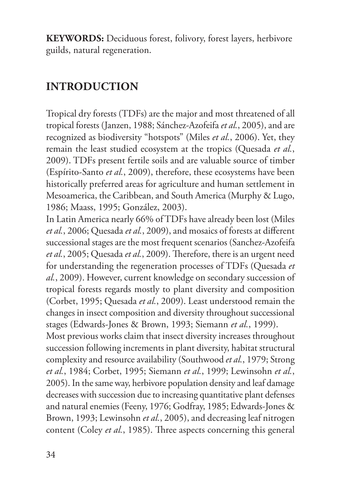**KEYWORDS:** Deciduous forest, folivory, forest layers, herbivore guilds, natural regeneration.

## **INTRODUCTION**

Tropical dry forests (TDFs) are the major and most threatened of all tropical forests (Janzen, 1988; Sánchez-Azofeifa *et al.*, 2005), and are recognized as biodiversity "hotspots" (Miles *et al.*, 2006). Yet, they remain the least studied ecosystem at the tropics (Quesada *et al.*, 2009). TDFs present fertile soils and are valuable source of timber (Espírito-Santo *et al.*, 2009), therefore, these ecosystems have been historically preferred areas for agriculture and human settlement in Mesoamerica, the Caribbean, and South America (Murphy & Lugo, 1986; Maass, 1995; González, 2003).

In Latin America nearly 66% of TDFs have already been lost (Miles *et al.*, 2006; Quesada *et al.*, 2009), and mosaics of forests at different successional stages are the most frequent scenarios (Sanchez-Azofeifa *et al.*, 2005; Quesada *et al.*, 2009). Therefore, there is an urgent need for understanding the regeneration processes of TDFs (Quesada *et al.*, 2009). However, current knowledge on secondary succession of tropical forests regards mostly to plant diversity and composition (Corbet, 1995; Quesada *et al.*, 2009). Least understood remain the changes in insect composition and diversity throughout successional stages (Edwards-Jones & Brown, 1993; Siemann *et al.*, 1999). Most previous works claim that insect diversity increases throughout

succession following increments in plant diversity, habitat structural complexity and resource availability (Southwood *et al.*, 1979; Strong *et al.*, 1984; Corbet, 1995; Siemann *et al.*, 1999; Lewinsohn *et al.*, 2005). In the same way, herbivore population density and leaf damage decreases with succession due to increasing quantitative plant defenses and natural enemies (Feeny, 1976; Godfray, 1985; Edwards-Jones & Brown, 1993; Lewinsohn *et al.*, 2005), and decreasing leaf nitrogen content (Coley *et al.*, 1985). Three aspects concerning this general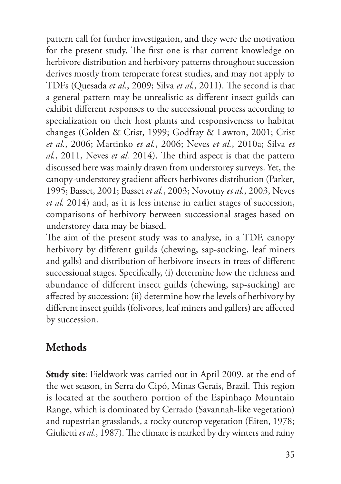pattern call for further investigation, and they were the motivation for the present study. The first one is that current knowledge on herbivore distribution and herbivory patterns throughout succession derives mostly from temperate forest studies, and may not apply to TDFs (Quesada *et al.*, 2009; Silva *et al.*, 2011). The second is that a general pattern may be unrealistic as different insect guilds can exhibit different responses to the successional process according to specialization on their host plants and responsiveness to habitat changes (Golden & Crist, 1999; Godfray & Lawton, 2001; Crist *et al.*, 2006; Martinko *et al.*, 2006; Neves *et al.*, 2010a; Silva *et al.*, 2011, Neves *et al.* 2014). The third aspect is that the pattern discussed here was mainly drawn from understorey surveys. Yet, the canopy-understorey gradient affects herbivores distribution (Parker, 1995; Basset, 2001; Basset *et al.*, 2003; Novotny *et al.*, 2003, Neves *et al.* 2014) and, as it is less intense in earlier stages of succession, comparisons of herbivory between successional stages based on understorey data may be biased.

The aim of the present study was to analyse, in a TDF, canopy herbivory by different guilds (chewing, sap-sucking, leaf miners and galls) and distribution of herbivore insects in trees of different successional stages. Specifically, (i) determine how the richness and abundance of different insect guilds (chewing, sap-sucking) are affected by succession; (ii) determine how the levels of herbivory by different insect guilds (folivores, leaf miners and gallers) are affected by succession.

## **Methods**

**Study site**: Fieldwork was carried out in April 2009, at the end of the wet season, in Serra do Cipó, Minas Gerais, Brazil. This region is located at the southern portion of the Espinhaço Mountain Range, which is dominated by Cerrado (Savannah-like vegetation) and rupestrian grasslands, a rocky outcrop vegetation (Eiten, 1978; Giulietti *et al.*, 1987). The climate is marked by dry winters and rainy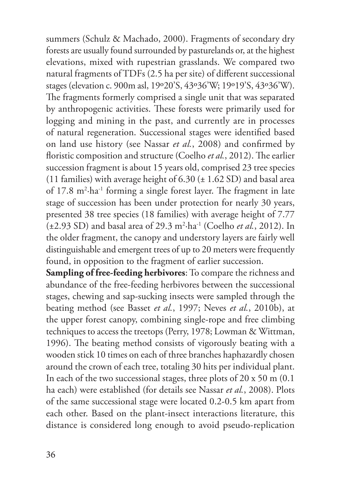summers (Schulz & Machado, 2000). Fragments of secondary dry forests are usually found surrounded by pasturelands or, at the highest elevations, mixed with rupestrian grasslands. We compared two natural fragments of TDFs (2.5 ha per site) of different successional stages (elevation c. 900m asl, 19º20'S, 43º36'W; 19º19'S, 43º36'W). The fragments formerly comprised a single unit that was separated by anthropogenic activities. These forests were primarily used for logging and mining in the past, and currently are in processes of natural regeneration. Successional stages were identified based on land use history (see Nassar *et al.*, 2008) and confirmed by floristic composition and structure (Coelho *et al.*, 2012). The earlier succession fragment is about 15 years old, comprised 23 tree species (11 families) with average height of  $6.30 \ (\pm 1.62 \text{ SD})$  and basal area of 17.8 m<sup>2</sup>·ha<sup>-1</sup> forming a single forest layer. The fragment in late stage of succession has been under protection for nearly 30 years, presented 38 tree species (18 families) with average height of 7.77 (±2.93 SD) and basal area of 29.3 m2 ·ha-1 (Coelho *et al.*, 2012). In the older fragment, the canopy and understory layers are fairly well distinguishable and emergent trees of up to 20 meters were frequently found, in opposition to the fragment of earlier succession.

**Sampling of free-feeding herbivores**: To compare the richness and abundance of the free-feeding herbivores between the successional stages, chewing and sap-sucking insects were sampled through the beating method (see Basset *et al.*, 1997; Neves *et al.*, 2010b), at the upper forest canopy, combining single-rope and free climbing techniques to access the treetops (Perry, 1978; Lowman & Wittman, 1996). The beating method consists of vigorously beating with a wooden stick 10 times on each of three branches haphazardly chosen around the crown of each tree, totaling 30 hits per individual plant. In each of the two successional stages, three plots of 20 x 50 m (0.1 ha each) were established (for details see Nassar *et al.*, 2008). Plots of the same successional stage were located 0.2-0.5 km apart from each other. Based on the plant-insect interactions literature, this distance is considered long enough to avoid pseudo-replication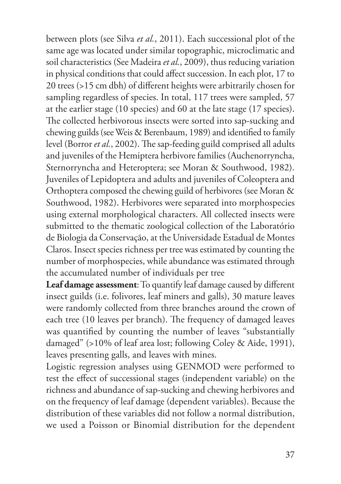between plots (see Silva *et al.*, 2011). Each successional plot of the same age was located under similar topographic, microclimatic and soil characteristics (See Madeira *et al.*, 2009), thus reducing variation in physical conditions that could affect succession. In each plot, 17 to 20 trees (>15 cm dbh) of different heights were arbitrarily chosen for sampling regardless of species. In total, 117 trees were sampled, 57 at the earlier stage (10 species) and 60 at the late stage (17 species). The collected herbivorous insects were sorted into sap-sucking and chewing guilds (see Weis & Berenbaum, 1989) and identified to family level (Borror *et al.*, 2002). The sap-feeding guild comprised all adults and juveniles of the Hemiptera herbivore families (Auchenorryncha, Sternorryncha and Heteroptera; see Moran & Southwood, 1982). Juveniles of Lepidoptera and adults and juveniles of Coleoptera and Orthoptera composed the chewing guild of herbivores (see Moran & Southwood, 1982). Herbivores were separated into morphospecies using external morphological characters. All collected insects were submitted to the thematic zoological collection of the Laboratório de Biologia da Conservação, at the Universidade Estadual de Montes Claros. Insect species richness per tree was estimated by counting the number of morphospecies, while abundance was estimated through the accumulated number of individuals per tree

**Leaf damage assessment**: To quantify leaf damage caused by different insect guilds (i.e. folivores, leaf miners and galls), 30 mature leaves were randomly collected from three branches around the crown of each tree (10 leaves per branch). The frequency of damaged leaves was quantified by counting the number of leaves "substantially damaged" (>10% of leaf area lost; following Coley & Aide, 1991), leaves presenting galls, and leaves with mines.

Logistic regression analyses using GENMOD were performed to test the effect of successional stages (independent variable) on the richness and abundance of sap-sucking and chewing herbivores and on the frequency of leaf damage (dependent variables). Because the distribution of these variables did not follow a normal distribution, we used a Poisson or Binomial distribution for the dependent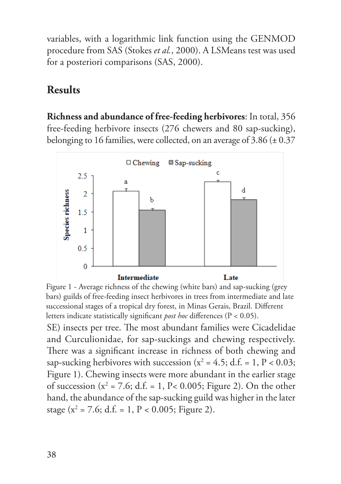variables, with a logarithmic link function using the GENMOD procedure from SAS (Stokes *et al.*, 2000). A LSMeans test was used for a posteriori comparisons (SAS, 2000).

## **Results**

**Richness and abundance of free-feeding herbivores**: In total, 356 free-feeding herbivore insects (276 chewers and 80 sap-sucking), belonging to 16 families, were collected, on an average of 3.86 (± 0.37



SE) insects per tree. The most abundant families were Cicadelidae and Curculionidae, for sap-suckings and chewing respectively. There was a significant increase in richness of both chewing and sap-sucking herbivores with succession ( $x^2 = 4.5$ ; d.f. = 1, P < 0.03; Figure 1). Chewing insects were more abundant in the earlier stage of succession ( $x^2$  = 7.6; d.f. = 1, P< 0.005; Figure 2). On the other hand, the abundance of the sap-sucking guild was higher in the later stage ( $x^2$  = 7.6; d.f. = 1, P < 0.005; Figure 2). Figure 1 - Average richness of the chewing (white bars) and sap-sucking (grey bars) guilds of free-feeding insect herbivores in trees from intermediate and late successional stages of a tropical dry forest, in Minas Gerais, Brazil. Different letters indicate statistically significant *post hoc* differences (P < 0.05).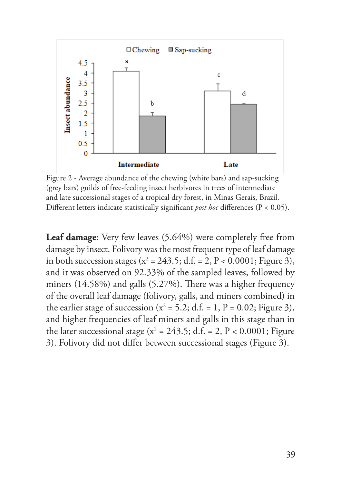

Figure 2 - Average abundance of the chewing (white bars) and sap-sucking (grey bars) guilds of free-feeding insect herbivores in trees of intermediate and late successional stages of a tropical dry forest, in Minas Gerais, Brazil. Different letters indicate statistically significant *post hoc* differences (P < 0.05).

**Leaf damage**: Very few leaves (5.64%) were completely free from damage by insect. Folivory was the most frequent type of leaf damage in both succession stages ( $x^2 = 243.5$ ; d.f. = 2, P < 0.0001; Figure 3), and it was observed on 92.33% of the sampled leaves, followed by miners (14.58%) and galls (5.27%). There was a higher frequency of the overall leaf damage (folivory, galls, and miners combined) in the earlier stage of succession ( $x^2 = 5.2$ ; d.f. = 1, P = 0.02; Figure 3), and higher frequencies of leaf miners and galls in this stage than in the later successional stage ( $x^2 = 243.5$ ; d.f. = 2, P < 0.0001; Figure 3). Folivory did not differ between successional stages (Figure 3).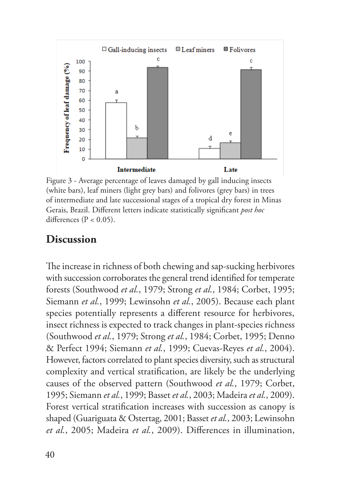

Figure 3 - Average percentage of leaves damaged by gall inducing insects (white bars), leaf miners (light grey bars) and folivores (grey bars) in trees of intermediate and late successional stages of a tropical dry forest in Minas Gerais, Brazil. Different letters indicate statistically significant *post hoc* differences ( $P < 0.05$ ).

#### **Discussion**

The increase in richness of both chewing and sap-sucking herbivores with succession corroborates the general trend identified for temperate forests (Southwood *et al.*, 1979; Strong *et al.*, 1984; Corbet, 1995; Siemann *et al.*, 1999; Lewinsohn *et al.*, 2005). Because each plant species potentially represents a different resource for herbivores, insect richness is expected to track changes in plant-species richness (Southwood *et al.*, 1979; Strong *et al.*, 1984; Corbet, 1995; Denno & Perfect 1994; Siemann *et al.*, 1999; Cuevas-Reyes *et al.*, 2004). However, factors correlated to plant species diversity, such as structural complexity and vertical stratification, are likely be the underlying causes of the observed pattern (Southwood *et al.*, 1979; Corbet, 1995; Siemann *et al.*, 1999; Basset *et al.*, 2003; Madeira *et al.*, 2009). Forest vertical stratification increases with succession as canopy is shaped (Guariguata & Ostertag, 2001; Basset *et al.*, 2003; Lewinsohn *et al.*, 2005; Madeira *et al.*, 2009). Differences in illumination,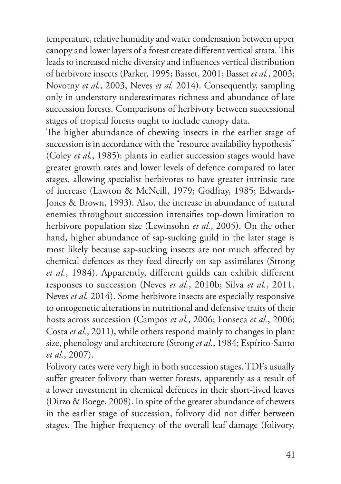temperature, relative humidity and water condensation between upper canopy and lower layers of a forest create different vertical strata. This leads to increased niche diversity and influences vertical distribution of herbivore insects (Parker, 1995; Basset, 2001; Basset *et al.*, 2003; Novotny *et al.*, 2003, Neves *et al.* 2014). Consequently, sampling only in understory underestimates richness and abundance of late succession forests. Comparisons of herbivory between successional stages of tropical forests ought to include canopy data.

The higher abundance of chewing insects in the earlier stage of succession is in accordance with the "resource availability hypothesis" (Coley *et al.*, 1985): plants in earlier succession stages would have greater growth rates and lower levels of defence compared to later stages, allowing specialist herbivores to have greater intrinsic rate of increase (Lawton & McNeill, 1979; Godfray, 1985; Edwards-Jones & Brown, 1993). Also, the increase in abundance of natural enemies throughout succession intensifies top-down limitation to herbivore population size (Lewinsohn *et al.*, 2005). On the other hand, higher abundance of sap-sucking guild in the later stage is most likely because sap-sucking insects are not much affected by chemical defences as they feed directly on sap assimilates (Strong *et al.*, 1984). Apparently, different guilds can exhibit different responses to succession (Neves *et al.*, 2010b; Silva *et al.*, 2011, Neves *et al.* 2014). Some herbivore insects are especially responsive to ontogenetic alterations in nutritional and defensive traits of their hosts across succession (Campos *et al.*, 2006; Fonseca *et al.*, 2006; Costa *et al.*, 2011), while others respond mainly to changes in plant size, phenology and architecture (Strong *et al.*, 1984; Espírito-Santo *et al.*, 2007).

Folivory rates were very high in both succession stages. TDFs usually suffer greater folivory than wetter forests, apparently as a result of a lower investment in chemical defences in their short-lived leaves (Dirzo & Boege, 2008). In spite of the greater abundance of chewers in the earlier stage of succession, folivory did not differ between stages. The higher frequency of the overall leaf damage (folivory,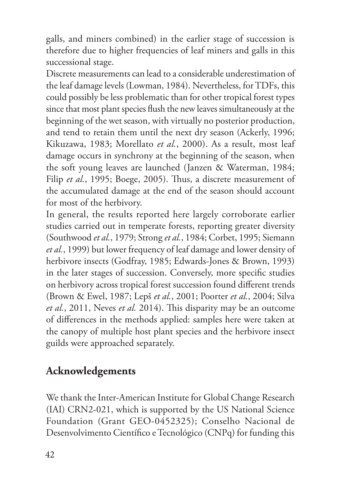galls, and miners combined) in the earlier stage of succession is therefore due to higher frequencies of leaf miners and galls in this successional stage.

Discrete measurements can lead to a considerable underestimation of the leaf damage levels (Lowman, 1984). Nevertheless, for TDFs, this could possibly be less problematic than for other tropical forest types since that most plant species flush the new leaves simultaneously at the beginning of the wet season, with virtually no posterior production, and tend to retain them until the next dry season (Ackerly, 1996; Kikuzawa, 1983; Morellato *et al.*, 2000). As a result, most leaf damage occurs in synchrony at the beginning of the season, when the soft young leaves are launched (Janzen & Waterman, 1984; Filip *et al.*, 1995; Boege, 2005). Thus, a discrete measurement of the accumulated damage at the end of the season should account for most of the herbivory.

In general, the results reported here largely corroborate earlier studies carried out in temperate forests, reporting greater diversity (Southwood *et al.*, 1979; Strong *et al.*, 1984; Corbet, 1995; Siemann *et al.*, 1999) but lower frequency of leaf damage and lower density of herbivore insects (Godfray, 1985; Edwards-Jones & Brown, 1993) in the later stages of succession. Conversely, more specific studies on herbivory across tropical forest succession found different trends (Brown & Ewel, 1987; Lepš *et al.*, 2001; Poorter *et al.*, 2004; Silva *et al.*, 2011, Neves *et al.* 2014). This disparity may be an outcome of differences in the methods applied: samples here were taken at the canopy of multiple host plant species and the herbivore insect guilds were approached separately.

# **Acknowledgements**

We thank the Inter-American Institute for Global Change Research (IAI) CRN2-021, which is supported by the US National Science Foundation (Grant GEO-0452325); Conselho Nacional de Desenvolvimento Científico e Tecnológico (CNPq) for funding this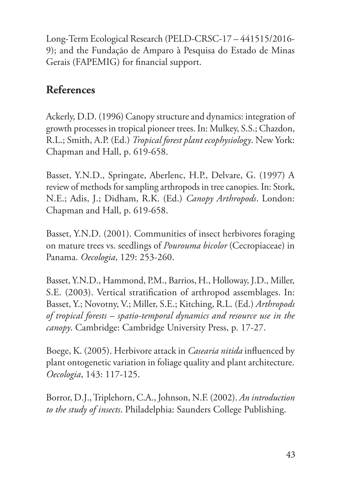Long-Term Ecological Research (PELD-CRSC-17 – 441515/2016- 9); and the Fundação de Amparo à Pesquisa do Estado de Minas Gerais (FAPEMIG) for financial support.

# **References**

Ackerly, D.D. (1996) Canopy structure and dynamics: integration of growth processes in tropical pioneer trees. In: Mulkey, S.S.; Chazdon, R.L.; Smith, A.P. (Ed.) *Tropical forest plant ecophysiology*. New York: Chapman and Hall, p. 619-658.

Basset, Y.N.D., Springate, Aberlenc, H.P., Delvare, G. (1997) A review of methods for sampling arthropods in tree canopies. In: Stork, N.E.; Adis, J.; Didham, R.K. (Ed.) *Canopy Arthropods*. London: Chapman and Hall, p. 619-658.

Basset, Y.N.D. (2001). Communities of insect herbivores foraging on mature trees vs. seedlings of *Pourouma bicolor* (Cecropiaceae) in Panama. *Oecologia*, 129: 253-260.

Basset, Y.N.D., Hammond, P.M., Barrios, H., Holloway, J.D., Miller, S.E. (2003). Vertical stratification of arthropod assemblages. In: Basset, Y.; Novotny, V.; Miller, S.E.; Kitching, R.L. (Ed.) *Arthropods of tropical forests – spatio-temporal dynamics and resource use in the canopy*. Cambridge: Cambridge University Press, p. 17-27.

Boege, K. (2005). Herbivore attack in *Casearia nitida* influenced by plant ontogenetic variation in foliage quality and plant architecture. *Oecologia*, 143: 117-125.

Borror, D.J., Triplehorn, C.A., Johnson, N.F. (2002). *An introduction to the study of insects*. Philadelphia: Saunders College Publishing.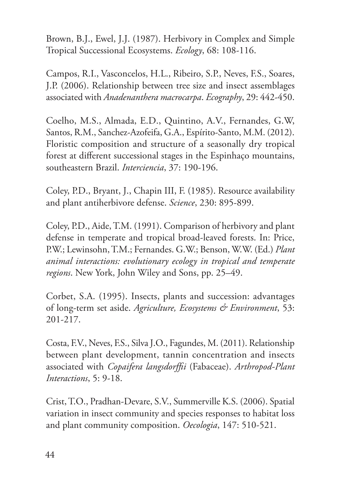Brown, B.J., Ewel, J.J. (1987). Herbivory in Complex and Simple Tropical Successional Ecosystems. *Ecology*, 68: 108-116.

Campos, R.I., Vasconcelos, H.L., Ribeiro, S.P., Neves, F.S., Soares, J.P. (2006). Relationship between tree size and insect assemblages associated with *Anadenanthera macrocarpa*. *Ecography*, 29: 442-450.

Coelho, M.S., Almada, E.D., Quintino, A.V., Fernandes, G.W, Santos, R.M., Sanchez-Azofeifa, G.A., Espírito-Santo, M.M. (2012). Floristic composition and structure of a seasonally dry tropical forest at different successional stages in the Espinhaço mountains, southeastern Brazil. *Interciencia*, 37: 190-196.

Coley, P.D., Bryant, J., Chapin III, F. (1985). Resource availability and plant antiherbivore defense. *Science*, 230: 895-899.

Coley, P.D., Aide, T.M. (1991). Comparison of herbivory and plant defense in temperate and tropical broad-leaved forests. In: Price, P.W.; Lewinsohn, T.M.; Fernandes. G.W.; Benson, W.W. (Ed.) *Plant animal interactions: evolutionary ecology in tropical and temperate regions*. New York, John Wiley and Sons, pp. 25–49.

Corbet, S.A. (1995). Insects, plants and succession: advantages of long-term set aside. *Agriculture, Ecosystems & Environment*, 53: 201-217.

Costa, F.V., Neves, F.S., Silva J.O., Fagundes, M. (2011). Relationship between plant development, tannin concentration and insects associated with *Copaifera langsdorffii* (Fabaceae). *Arthropod-Plant Interactions*, 5: 9-18.

Crist, T.O., Pradhan-Devare, S.V., Summerville K.S. (2006). Spatial variation in insect community and species responses to habitat loss and plant community composition. *Oecologia*, 147: 510-521.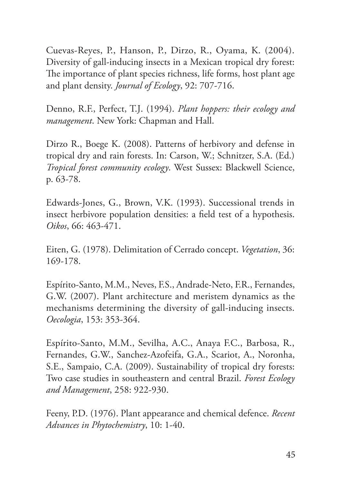Cuevas-Reyes, P., Hanson, P., Dirzo, R., Oyama, K. (2004). Diversity of gall-inducing insects in a Mexican tropical dry forest: The importance of plant species richness, life forms, host plant age and plant density. *Journal of Ecology*, 92: 707-716.

Denno, R.F., Perfect, T.J. (1994). *Plant hoppers: their ecology and management*. New York: Chapman and Hall.

Dirzo R., Boege K. (2008). Patterns of herbivory and defense in tropical dry and rain forests. In: Carson, W.; Schnitzer, S.A. (Ed.) *Tropical forest community ecology*. West Sussex: Blackwell Science, p. 63-78.

Edwards-Jones, G., Brown, V.K. (1993). Successional trends in insect herbivore population densities: a field test of a hypothesis. *Oikos*, 66: 463-471.

Eiten, G. (1978). Delimitation of Cerrado concept. *Vegetation*, 36: 169-178.

Espírito-Santo, M.M., Neves, F.S., Andrade-Neto, F.R., Fernandes, G.W. (2007). Plant architecture and meristem dynamics as the mechanisms determining the diversity of gall-inducing insects. *Oecologia*, 153: 353-364.

Espírito-Santo, M.M., Sevilha, A.C., Anaya F.C., Barbosa, R., Fernandes, G.W., Sanchez-Azofeifa, G.A., Scariot, A., Noronha, S.E., Sampaio, C.A. (2009). Sustainability of tropical dry forests: Two case studies in southeastern and central Brazil. *Forest Ecology and Management*, 258: 922-930.

Feeny, P.D. (1976). Plant appearance and chemical defence. *Recent Advances in Phytochemistry*, 10: 1-40.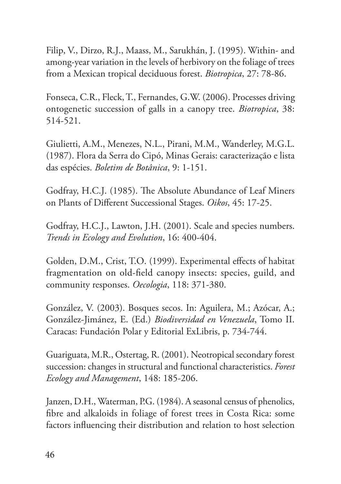Filip, V., Dirzo, R.J., Maass, M., Sarukhán, J. (1995). Within- and among-year variation in the levels of herbivory on the foliage of trees from a Mexican tropical deciduous forest. *Biotropica*, 27: 78-86.

Fonseca, C.R., Fleck, T., Fernandes, G.W. (2006). Processes driving ontogenetic succession of galls in a canopy tree. *Biotropica*, 38: 514-521.

Giulietti, A.M., Menezes, N.L., Pirani, M.M., Wanderley, M.G.L. (1987). Flora da Serra do Cipó, Minas Gerais: caracterização e lista das espécies. *Boletim de Botânica*, 9: 1-151.

Godfray, H.C.J. (1985). The Absolute Abundance of Leaf Miners on Plants of Different Successional Stages. *Oikos*, 45: 17-25.

Godfray, H.C.J., Lawton, J.H. (2001). Scale and species numbers. *Trends in Ecology and Evolution*, 16: 400-404.

Golden, D.M., Crist, T.O. (1999). Experimental effects of habitat fragmentation on old-field canopy insects: species, guild, and community responses. *Oecologia*, 118: 371-380.

González, V. (2003). Bosques secos. In: Aguilera, M.; Azócar, A.; González-Jimánez, E. (Ed.) *Biodiversidad en Venezuela*, Tomo II. Caracas: Fundación Polar y Editorial ExLibris, p. 734-744.

Guariguata, M.R., Ostertag, R. (2001). Neotropical secondary forest succession: changes in structural and functional characteristics. *Forest Ecology and Management*, 148: 185-206.

Janzen, D.H., Waterman, P.G. (1984). A seasonal census of phenolics, fibre and alkaloids in foliage of forest trees in Costa Rica: some factors influencing their distribution and relation to host selection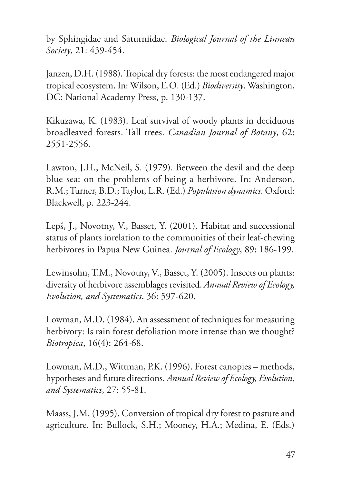by Sphingidae and Saturniidae. *Biological Journal of the Linnean Society*, 21: 439-454.

Janzen, D.H. (1988). Tropical dry forests: the most endangered major tropical ecosystem. In: Wilson, E.O. (Ed.) *Biodiversity*. Washington, DC: National Academy Press, p. 130-137.

Kikuzawa, K. (1983). Leaf survival of woody plants in deciduous broadleaved forests. Tall trees. *Canadian Journal of Botany*, 62: 2551-2556.

Lawton, J.H., McNeil, S. (1979). Between the devil and the deep blue sea: on the problems of being a herbivore. In: Anderson, R.M.; Turner, B.D.; Taylor, L.R. (Ed.) *Population dynamics*. Oxford: Blackwell, p. 223-244.

Lepš, J., Novotny, V., Basset, Y. (2001). Habitat and successional status of plants inrelation to the communities of their leaf-chewing herbivores in Papua New Guinea. *Journal of Ecology*, 89: 186-199.

Lewinsohn, T.M., Novotny, V., Basset, Y. (2005). Insects on plants: diversity of herbivore assemblages revisited. *Annual Review of Ecology, Evolution, and Systematics*, 36: 597-620.

Lowman, M.D. (1984). An assessment of techniques for measuring herbivory: Is rain forest defoliation more intense than we thought? *Biotropica*, 16(4): 264-68.

Lowman, M.D., Wittman, P.K. (1996). Forest canopies – methods, hypotheses and future directions. *Annual Review of Ecology, Evolution, and Systematics*, 27: 55-81.

Maass, J.M. (1995). Conversion of tropical dry forest to pasture and agriculture. In: Bullock, S.H.; Mooney, H.A.; Medina, E. (Eds.)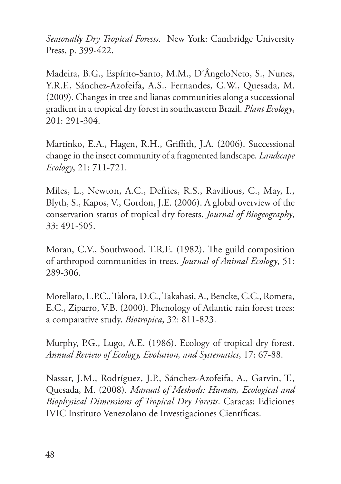*Seasonally Dry Tropical Forests*. New York: Cambridge University Press, p. 399-422.

Madeira, B.G., Espírito-Santo, M.M., D'ÂngeloNeto, S., Nunes, Y.R.F., Sánchez-Azofeifa, A.S., Fernandes, G.W., Quesada, M. (2009). Changes in tree and lianas communities along a successional gradient in a tropical dry forest in southeastern Brazil. *Plant Ecology*, 201: 291-304.

Martinko, E.A., Hagen, R.H., Griffith, J.A. (2006). Successional change in the insect community of a fragmented landscape. *Landscape Ecology*, 21: 711-721.

Miles, L., Newton, A.C., Defries, R.S., Ravilious, C., May, I., Blyth, S., Kapos, V., Gordon, J.E. (2006). A global overview of the conservation status of tropical dry forests. *Journal of Biogeography*, 33: 491-505.

Moran, C.V., Southwood, T.R.E. (1982). The guild composition of arthropod communities in trees. *Journal of Animal Ecology*, 51: 289-306.

Morellato, L.P.C., Talora, D.C., Takahasi, A., Bencke, C.C., Romera, E.C., Ziparro, V.B. (2000). Phenology of Atlantic rain forest trees: a comparative study. *Biotropica*, 32: 811-823.

Murphy, P.G., Lugo, A.E. (1986). Ecology of tropical dry forest. *Annual Review of Ecology, Evolution, and Systematics*, 17: 67-88.

Nassar, J.M., Rodríguez, J.P., Sánchez-Azofeifa, A., Garvin, T., Quesada, M. (2008). *Manual of Methods: Human, Ecological and Biophysical Dimensions of Tropical Dry Forests*. Caracas: Ediciones IVIC Instituto Venezolano de Investigaciones Científicas.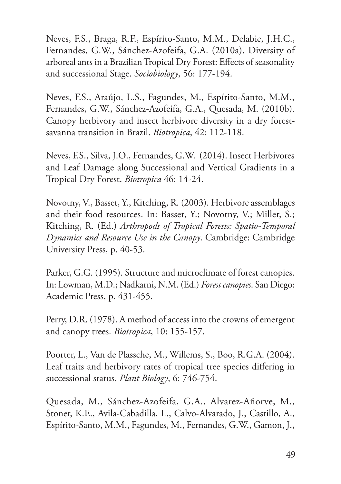Neves, F.S., Braga, R.F., Espírito-Santo, M.M., Delabie, J.H.C., Fernandes, G.W., Sánchez-Azofeifa, G.A. (2010a). Diversity of arboreal ants in a Brazilian Tropical Dry Forest: Effects of seasonality and successional Stage. *Sociobiology*, 56: 177-194.

Neves, F.S., Araújo, L.S., Fagundes, M., Espírito-Santo, M.M., Fernandes, G.W., Sánchez-Azofeifa, G.A., Quesada, M. (2010b). Canopy herbivory and insect herbivore diversity in a dry forestsavanna transition in Brazil. *Biotropica*, 42: 112-118.

Neves, F.S., Silva, J.O., Fernandes, G.W. (2014). Insect Herbivores and Leaf Damage along Successional and Vertical Gradients in a Tropical Dry Forest. *Biotropica* 46: 14-24.

Novotny, V., Basset, Y., Kitching, R. (2003). Herbivore assemblages and their food resources. In: Basset, Y.; Novotny, V.; Miller, S.; Kitching, R. (Ed.) *Arthropods of Tropical Forests: Spatio-Temporal Dynamics and Resource Use in the Canopy*. Cambridge: Cambridge University Press, p. 40-53.

Parker, G.G. (1995). Structure and microclimate of forest canopies. In: Lowman, M.D.; Nadkarni, N.M. (Ed.) *Forest canopies*. San Diego: Academic Press, p. 431-455.

Perry, D.R. (1978). A method of access into the crowns of emergent and canopy trees. *Biotropica*, 10: 155-157.

Poorter, L., Van de Plassche, M., Willems, S., Boo, R.G.A. (2004). Leaf traits and herbivory rates of tropical tree species differing in successional status. *Plant Biology*, 6: 746-754.

Quesada, M., Sánchez-Azofeifa, G.A., Alvarez-Añorve, M., Stoner, K.E., Avila-Cabadilla, L., Calvo-Alvarado, J., Castillo, A., Espírito-Santo, M.M., Fagundes, M., Fernandes, G.W., Gamon, J.,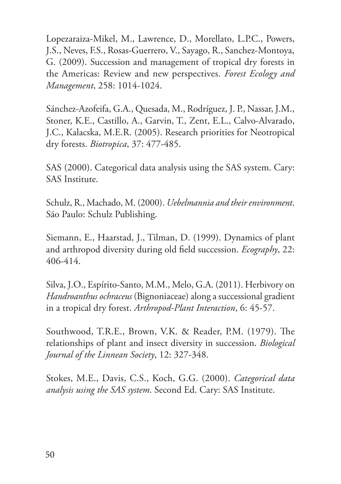Lopezaraiza-Mikel, M., Lawrence, D., Morellato, L.P.C., Powers, J.S., Neves, F.S., Rosas-Guerrero, V., Sayago, R., Sanchez-Montoya, G. (2009). Succession and management of tropical dry forests in the Americas: Review and new perspectives. *Forest Ecology and Management*, 258: 1014-1024.

Sánchez-Azofeifa, G.A., Quesada, M., Rodríguez, J. P., Nassar, J.M., Stoner, K.E., Castillo, A., Garvin, T., Zent, E.L., Calvo-Alvarado, J.C., Kalacska, M.E.R. (2005). Research priorities for Neotropical dry forests. *Biotropica*, 37: 477-485.

SAS (2000). Categorical data analysis using the SAS system. Cary: SAS Institute.

Schulz, R., Machado, M. (2000). *Uebelmannia and their environment*. São Paulo: Schulz Publishing.

Siemann, E., Haarstad, J., Tilman, D. (1999). Dynamics of plant and arthropod diversity during old field succession. *Ecography*, 22: 406-414.

Silva, J.O., Espírito-Santo, M.M., Melo, G.A. (2011). Herbivory on *Handroanthus ochraceus* (Bignoniaceae) along a successional gradient in a tropical dry forest. *Arthropod-Plant Interaction*, 6: 45-57.

Southwood, T.R.E., Brown, V.K. & Reader, P.M. (1979). The relationships of plant and insect diversity in succession. *Biological Journal of the Linnean Society*, 12: 327-348.

Stokes, M.E., Davis, C.S., Koch, G.G. (2000). *Categorical data analysis using the SAS system*. Second Ed. Cary: SAS Institute.